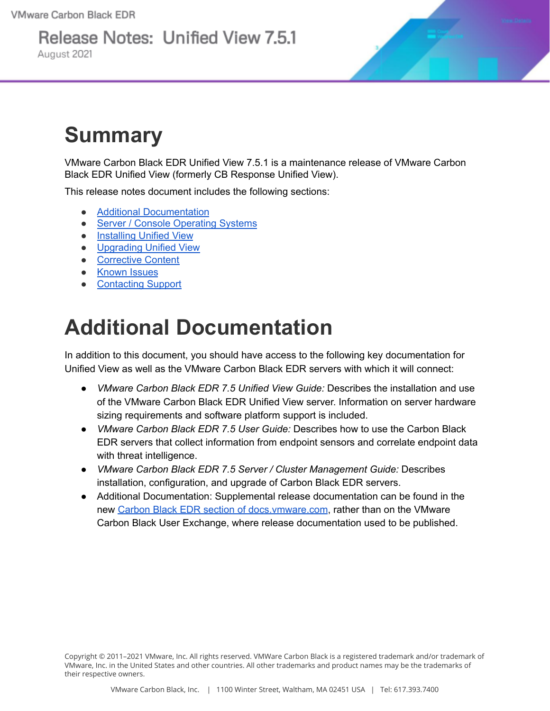# Release Notes: Unified View 7.5.1

August 2021



# **Summary**

VMware Carbon Black EDR Unified View 7.5.1 is a maintenance release of VMware Carbon Black EDR Unified View (formerly CB Response Unified View).

This release notes document includes the following sections:

- Additional [Documentation](#page-0-0)
- Server / Console [Operating](#page-1-0) Systems
- **•** [Installing](#page-2-0) Unified View
- [Upgrading](#page-3-0) Unified View
- [Corrective](#page-3-1) Content
- [Known](#page-3-2) Issues
- [Contacting](#page-4-0) Support

# <span id="page-0-0"></span>**Additional Documentation**

In addition to this document, you should have access to the following key documentation for Unified View as well as the VMware Carbon Black EDR servers with which it will connect:

- *VMware Carbon Black EDR 7.5 Unified View Guide:* Describes the installation and use of the VMware Carbon Black EDR Unified View server. Information on server hardware sizing requirements and software platform support is included.
- *VMware Carbon Black EDR 7.5 User Guide:* Describes how to use the Carbon Black EDR servers that collect information from endpoint sensors and correlate endpoint data with threat intelligence.
- *VMware Carbon Black EDR 7.5 Server / Cluster Management Guide:* Describes installation, configuration, and upgrade of Carbon Black EDR servers.
- Additional Documentation: Supplemental release documentation can be found in the new Carbon Black EDR section of [docs.vmware.com](https://docs.vmware.com/en/VMware-Carbon-Black-EDR/index.html), rather than on the VMware Carbon Black User Exchange, where release documentation used to be published.

Copyright © 2011–2021 VMware, Inc. All rights reserved. VMWare Carbon Black is a registered trademark and/or trademark of VMware, Inc. in the United States and other countries. All other trademarks and product names may be the trademarks of their respective owners.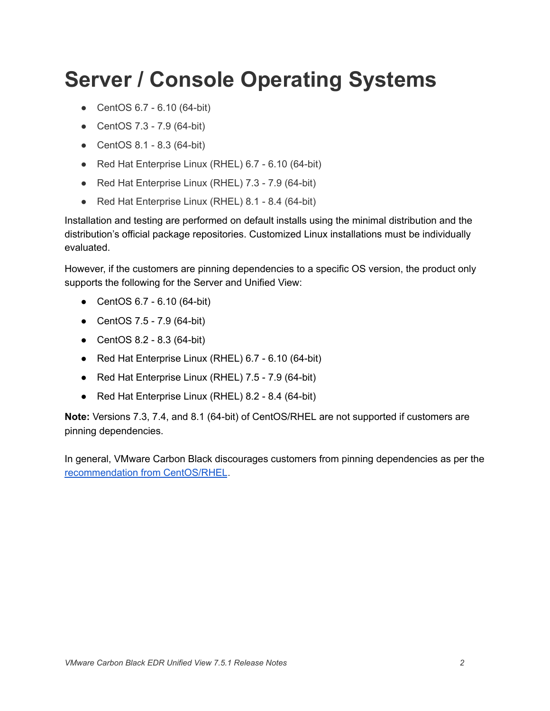# <span id="page-1-0"></span>**Server / Console Operating Systems**

- CentOS 6.7 6.10 (64-bit)
- CentOS 7.3 7.9 (64-bit)
- CentOS 8.1 8.3 (64-bit)
- Red Hat Enterprise Linux (RHEL) 6.7 6.10 (64-bit)
- Red Hat Enterprise Linux (RHEL) 7.3 7.9 (64-bit)
- Red Hat Enterprise Linux (RHEL) 8.1 8.4 (64-bit)

Installation and testing are performed on default installs using the minimal distribution and the distribution's official package repositories. Customized Linux installations must be individually evaluated.

However, if the customers are pinning dependencies to a specific OS version, the product only supports the following for the Server and Unified View:

- CentOS 6.7 6.10 (64-bit)
- CentOS 7.5 7.9 (64-bit)
- CentOS 8.2 8.3 (64-bit)
- Red Hat Enterprise Linux (RHEL) 6.7 6.10 (64-bit)
- Red Hat Enterprise Linux (RHEL) 7.5 7.9 (64-bit)
- Red Hat Enterprise Linux (RHEL) 8.2 8.4 (64-bit)

**Note:** Versions 7.3, 7.4, and 8.1 (64-bit) of CentOS/RHEL are not supported if customers are pinning dependencies.

In general, VMware Carbon Black discourages customers from pinning dependencies as per the [recommendation](https://wiki.centos.org/FAQ/General#How_does_CentOS_versioning_work.3F) from CentOS/RHEL.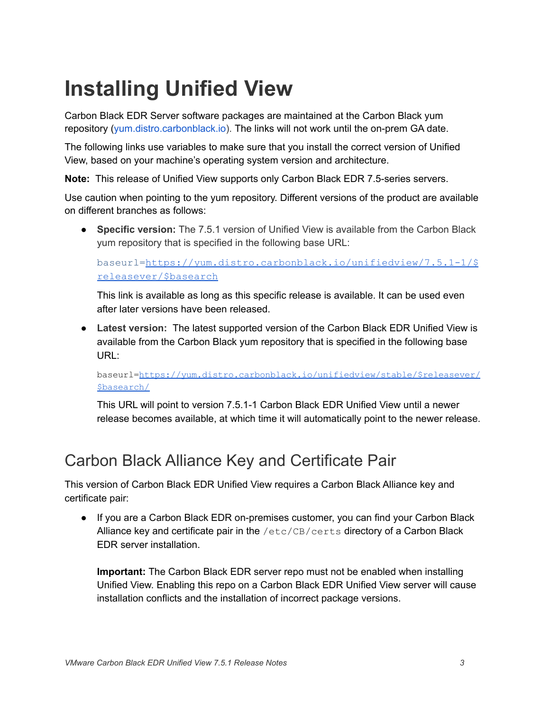# <span id="page-2-0"></span>**Installing Unified View**

Carbon Black EDR Server software packages are maintained at the Carbon Black yum repository ([yum.distro.carbonblack.io\)](http://yum.distro.carbonblack.io/). The links will not work until the on-prem GA date.

The following links use variables to make sure that you install the correct version of Unified View, based on your machine's operating system version and architecture.

**Note:** This release of Unified View supports only Carbon Black EDR 7.5-series servers.

Use caution when pointing to the yum repository. Different versions of the product are available on different branches as follows:

● **Specific version:** The 7.5.1 version of Unified View is available from the Carbon Black yum repository that is specified in the following base URL:

baseurl=[https://yum.distro.carbonblack.io/unifiedview/7.5.1-1/\\$](https://yum.distro.carbonblack.io/enterprise/7.5.1-1/$releasever/$basearch) [releasever/\\$basearch](https://yum.distro.carbonblack.io/enterprise/7.5.1-1/$releasever/$basearch)

This link is available as long as this specific release is available. It can be used even after later versions have been released.

● **Latest version:** The latest supported version of the Carbon Black EDR Unified View is available from the Carbon Black yum repository that is specified in the following base URL:

baseurl=[https://yum.distro.carbonblack.io/unifiedview/stable/\\$releasever/](https://yum.distro.carbonblack.io/unifiedview/stable/$releasever/$basearch/) [\\$basearch/](https://yum.distro.carbonblack.io/unifiedview/stable/$releasever/$basearch/)

This URL will point to version 7.5.1-1 Carbon Black EDR Unified View until a newer release becomes available, at which time it will automatically point to the newer release.

#### Carbon Black Alliance Key and Certificate Pair

This version of Carbon Black EDR Unified View requires a Carbon Black Alliance key and certificate pair:

● If you are a Carbon Black EDR on-premises customer, you can find your Carbon Black Alliance key and certificate pair in the /etc/CB/certs directory of a Carbon Black EDR server installation.

**Important:** The Carbon Black EDR server repo must not be enabled when installing Unified View. Enabling this repo on a Carbon Black EDR Unified View server will cause installation conflicts and the installation of incorrect package versions.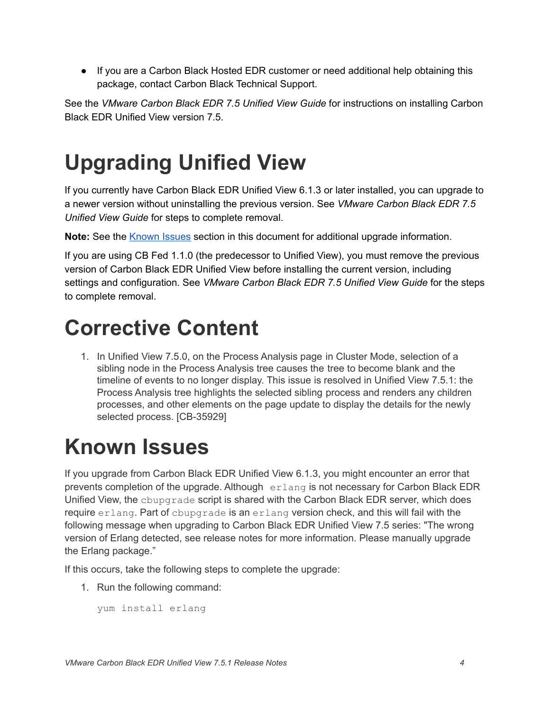● If you are a Carbon Black Hosted EDR customer or need additional help obtaining this package, contact Carbon Black Technical Support.

See the *VMware Carbon Black EDR 7.5 Unified View Guide* for instructions on installing Carbon Black EDR Unified View version 7.5.

# <span id="page-3-0"></span>**Upgrading Unified View**

If you currently have Carbon Black EDR Unified View 6.1.3 or later installed, you can upgrade to a newer version without uninstalling the previous version. See *VMware Carbon Black EDR 7.5 Unified View Guide* for steps to complete removal.

Note: See the **[Known](#page-3-1) Issues** section in this document for additional upgrade information.

If you are using CB Fed 1.1.0 (the predecessor to Unified View), you must remove the previous version of Carbon Black EDR Unified View before installing the current version, including settings and configuration. See *VMware Carbon Black EDR 7.5 Unified View Guide* for the steps to complete removal.

### <span id="page-3-1"></span>**Corrective Content**

1. In Unified View 7.5.0, on the Process Analysis page in Cluster Mode, selection of a sibling node in the Process Analysis tree causes the tree to become blank and the timeline of events to no longer display. This issue is resolved in Unified View 7.5.1: the Process Analysis tree highlights the selected sibling process and renders any children processes, and other elements on the page update to display the details for the newly selected process. [CB-35929]

# <span id="page-3-2"></span>**Known Issues**

If you upgrade from Carbon Black EDR Unified View 6.1.3, you might encounter an error that prevents completion of the upgrade. Although erlang is not necessary for Carbon Black EDR Unified View, the cbupgrade script is shared with the Carbon Black EDR server, which does require erlang. Part of cbupgrade is an erlang version check, and this will fail with the following message when upgrading to Carbon Black EDR Unified View 7.5 series: "The wrong version of Erlang detected, see release notes for more information. Please manually upgrade the Erlang package."

If this occurs, take the following steps to complete the upgrade:

1. Run the following command:

yum install erlang